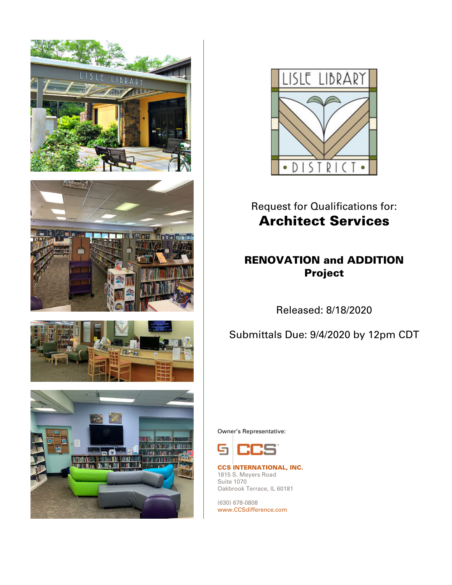









# Request for Qualifications for: Architect Services

### RENOVATION and ADDITION Project

Released: 8/18/2020

Submittals Due: 9/4/2020 by 12pm CDT

Owner's Representative:



CCS INTERNATIONAL, INC. 1815 S. Meyers Road Suite 1070 Oakbrook Terrace, IL 60181

(630) 678-0808 www.CCSdifference.com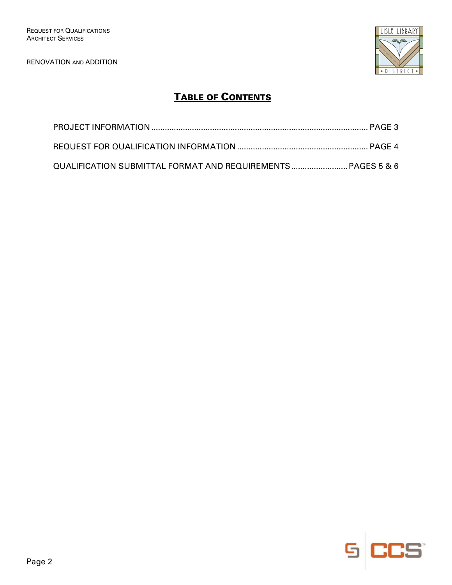

## TABLE OF CONTENTS

| QUALIFICATION SUBMITTAL FORMAT AND REQUIREMENTS PAGES 5 & 6 |  |
|-------------------------------------------------------------|--|

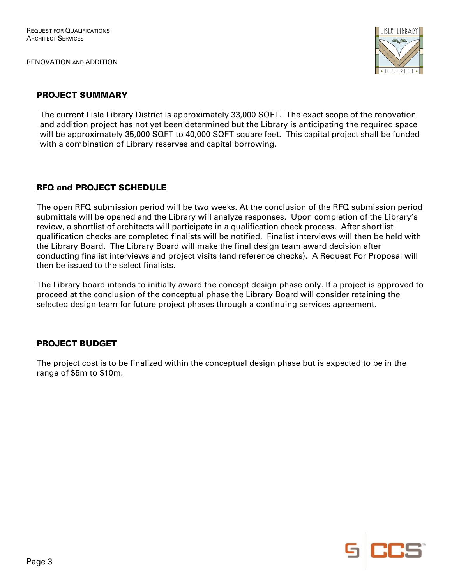

#### PROJECT SUMMARY

The current Lisle Library District is approximately 33,000 SQFT. The exact scope of the renovation and addition project has not yet been determined but the Library is anticipating the required space will be approximately 35,000 SQFT to 40,000 SQFT square feet. This capital project shall be funded with a combination of Library reserves and capital borrowing.

#### RFQ and PROJECT SCHEDULE

The open RFQ submission period will be two weeks. At the conclusion of the RFQ submission period submittals will be opened and the Library will analyze responses. Upon completion of the Library's review, a shortlist of architects will participate in a qualification check process. After shortlist qualification checks are completed finalists will be notified. Finalist interviews will then be held with the Library Board. The Library Board will make the final design team award decision after conducting finalist interviews and project visits (and reference checks). A Request For Proposal will then be issued to the select finalists.

The Library board intends to initially award the concept design phase only. If a project is approved to proceed at the conclusion of the conceptual phase the Library Board will consider retaining the selected design team for future project phases through a continuing services agreement.

#### PROJECT BUDGET

The project cost is to be finalized within the conceptual design phase but is expected to be in the range of \$5m to \$10m.

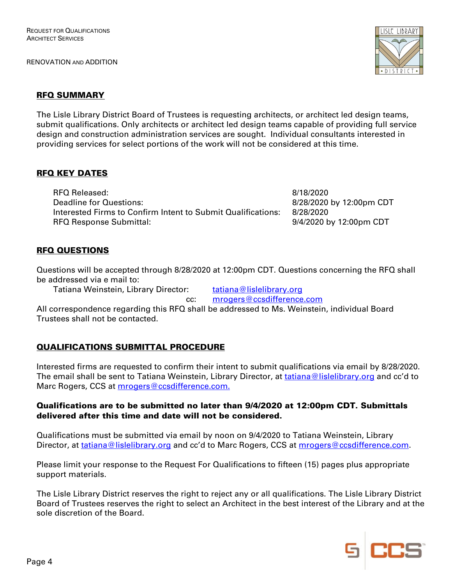

#### RFQ SUMMARY

The Lisle Library District Board of Trustees is requesting architects, or architect led design teams, submit qualifications. Only architects or architect led design teams capable of providing full service design and construction administration services are sought. Individual consultants interested in providing services for select portions of the work will not be considered at this time.

#### **RFQ KEY DATES**

RFQ Released: 8/18/2020 Deadline for Questions:  $\frac{8}{28}$  8/28/2020 by 12:00pm CDT Interested Firms to Confirm Intent to Submit Qualifications: 8/28/2020 RFQ Response Submittal:  $9/4/2020$  by 12:00pm CDT

#### RFQ QUESTIONS

Questions will be accepted through 8/28/2020 at 12:00pm CDT. Questions concerning the RFQ shall be addressed via e mail to:

Tatiana Weinstein, Library Director: tatiana@lislelibrary.org

cc: mrogers@ccsdifference.com

All correspondence regarding this RFQ shall be addressed to Ms. Weinstein, individual Board Trustees shall not be contacted.

#### QUALIFICATIONS SUBMITTAL PROCEDURE

Interested firms are requested to confirm their intent to submit qualifications via email by 8/28/2020. The email shall be sent to Tatiana Weinstein, Library Director, at tatiana@lislelibrary.org and cc'd to Marc Rogers, CCS at mrogers@ccsdifference.com.

#### Qualifications are to be submitted no later than 9/4/2020 at 12:00pm CDT. Submittals delivered after this time and date will not be considered.

Qualifications must be submitted via email by noon on 9/4/2020 to Tatiana Weinstein, Library Director, at tatiana@lislelibrary.org and cc'd to Marc Rogers, CCS at mrogers@ccsdifference.com.

Please limit your response to the Request For Qualifications to fifteen (15) pages plus appropriate support materials.

The Lisle Library District reserves the right to reject any or all qualifications. The Lisle Library District Board of Trustees reserves the right to select an Architect in the best interest of the Library and at the sole discretion of the Board.

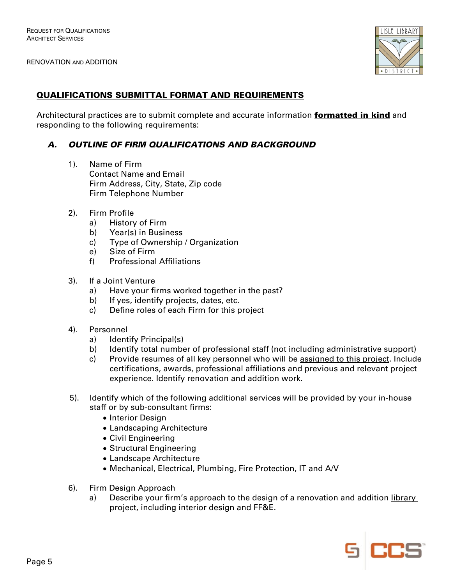

#### QUALIFICATIONS SUBMITTAL FORMAT AND REQUIREMENTS

Architectural practices are to submit complete and accurate information **formatted in kind** and responding to the following requirements:

#### A. OUTLINE OF FIRM QUALIFICATIONS AND BACKGROUND

- 1). Name of Firm Contact Name and Email Firm Address, City, State, Zip code Firm Telephone Number
- 2). Firm Profile
	- a) History of Firm
	- b) Year(s) in Business
	- c) Type of Ownership / Organization
	- e) Size of Firm
	- f) Professional Affiliations
- 3). If a Joint Venture
	- a) Have your firms worked together in the past?
	- b) If yes, identify projects, dates, etc.
	- c) Define roles of each Firm for this project
- 4). Personnel
	- a) Identify Principal(s)
	- b) Identify total number of professional staff (not including administrative support)
	- c) Provide resumes of all key personnel who will be assigned to this project. Include certifications, awards, professional affiliations and previous and relevant project experience. Identify renovation and addition work.
- 5). Identify which of the following additional services will be provided by your in-house staff or by sub-consultant firms:
	- Interior Design
	- Landscaping Architecture
	- Civil Engineering
	- Structural Engineering
	- Landscape Architecture
	- Mechanical, Electrical, Plumbing, Fire Protection, IT and A/V
- 6). Firm Design Approach
	- a) Describe your firm's approach to the design of a renovation and addition library project, including interior design and FF&E.